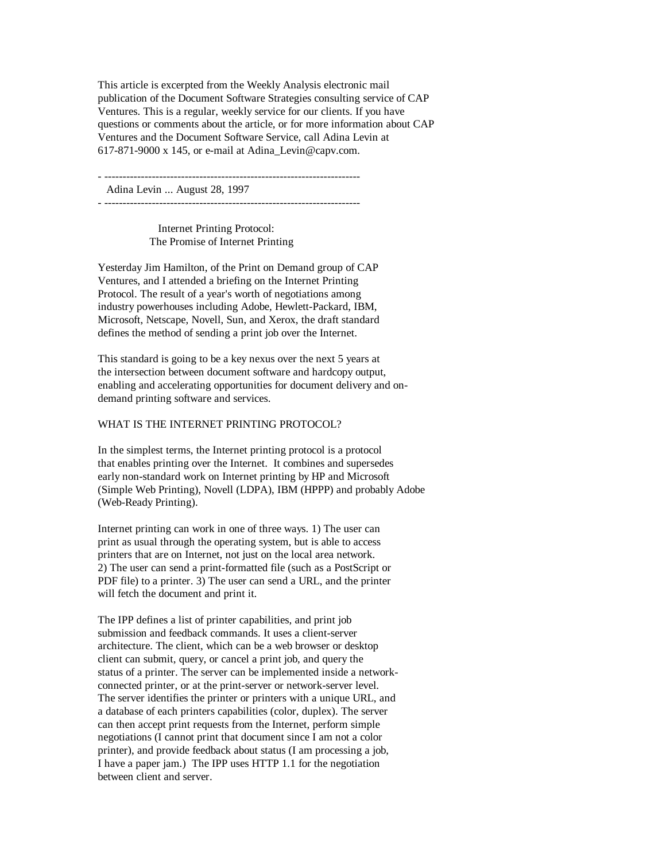This article is excerpted from the Weekly Analysis electronic mail publication of the Document Software Strategies consulting service of CAP Ventures. This is a regular, weekly service for our clients. If you have questions or comments about the article, or for more information about CAP Ventures and the Document Software Service, call Adina Levin at 617-871-9000 x 145, or e-mail at Adina\_Levin@capv.com.

- ----------------------------------------------------------------------

Adina Levin ... August 28, 1997

- ----------------------------------------------------------------------

 Internet Printing Protocol: The Promise of Internet Printing

Yesterday Jim Hamilton, of the Print on Demand group of CAP Ventures, and I attended a briefing on the Internet Printing Protocol. The result of a year's worth of negotiations among industry powerhouses including Adobe, Hewlett-Packard, IBM, Microsoft, Netscape, Novell, Sun, and Xerox, the draft standard defines the method of sending a print job over the Internet.

This standard is going to be a key nexus over the next 5 years at the intersection between document software and hardcopy output, enabling and accelerating opportunities for document delivery and ondemand printing software and services.

## WHAT IS THE INTERNET PRINTING PROTOCOL?

In the simplest terms, the Internet printing protocol is a protocol that enables printing over the Internet. It combines and supersedes early non-standard work on Internet printing by HP and Microsoft (Simple Web Printing), Novell (LDPA), IBM (HPPP) and probably Adobe (Web-Ready Printing).

Internet printing can work in one of three ways. 1) The user can print as usual through the operating system, but is able to access printers that are on Internet, not just on the local area network. 2) The user can send a print-formatted file (such as a PostScript or PDF file) to a printer. 3) The user can send a URL, and the printer will fetch the document and print it.

The IPP defines a list of printer capabilities, and print job submission and feedback commands. It uses a client-server architecture. The client, which can be a web browser or desktop client can submit, query, or cancel a print job, and query the status of a printer. The server can be implemented inside a networkconnected printer, or at the print-server or network-server level. The server identifies the printer or printers with a unique URL, and a database of each printers capabilities (color, duplex). The server can then accept print requests from the Internet, perform simple negotiations (I cannot print that document since I am not a color printer), and provide feedback about status (I am processing a job, I have a paper jam.) The IPP uses HTTP 1.1 for the negotiation between client and server.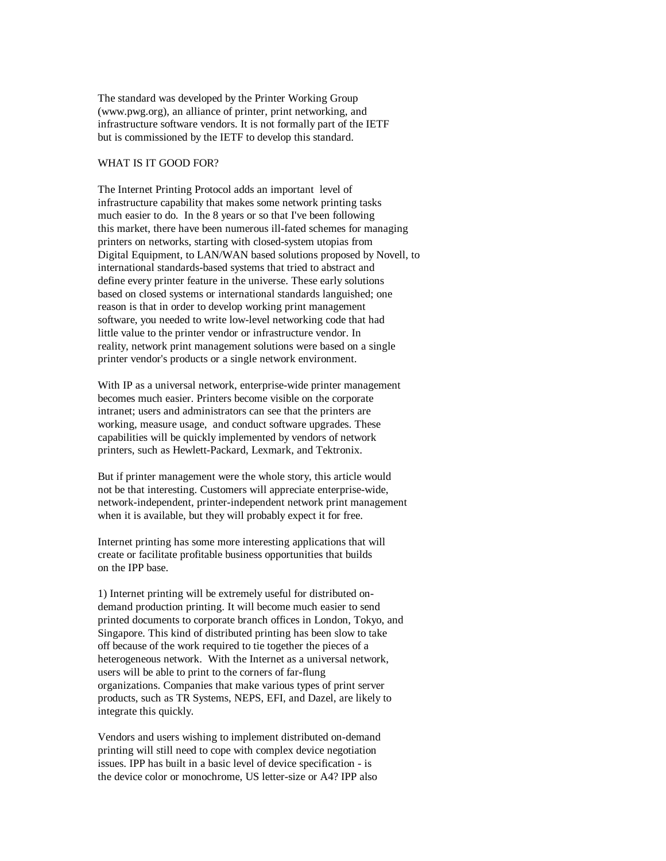The standard was developed by the Printer Working Group (www.pwg.org), an alliance of printer, print networking, and infrastructure software vendors. It is not formally part of the IETF but is commissioned by the IETF to develop this standard.

## WHAT IS IT GOOD FOR?

The Internet Printing Protocol adds an important level of infrastructure capability that makes some network printing tasks much easier to do. In the 8 years or so that I've been following this market, there have been numerous ill-fated schemes for managing printers on networks, starting with closed-system utopias from Digital Equipment, to LAN/WAN based solutions proposed by Novell, to international standards-based systems that tried to abstract and define every printer feature in the universe. These early solutions based on closed systems or international standards languished; one reason is that in order to develop working print management software, you needed to write low-level networking code that had little value to the printer vendor or infrastructure vendor. In reality, network print management solutions were based on a single printer vendor's products or a single network environment.

With IP as a universal network, enterprise-wide printer management becomes much easier. Printers become visible on the corporate intranet; users and administrators can see that the printers are working, measure usage, and conduct software upgrades. These capabilities will be quickly implemented by vendors of network printers, such as Hewlett-Packard, Lexmark, and Tektronix.

But if printer management were the whole story, this article would not be that interesting. Customers will appreciate enterprise-wide, network-independent, printer-independent network print management when it is available, but they will probably expect it for free.

Internet printing has some more interesting applications that will create or facilitate profitable business opportunities that builds on the IPP base.

1) Internet printing will be extremely useful for distributed ondemand production printing. It will become much easier to send printed documents to corporate branch offices in London, Tokyo, and Singapore. This kind of distributed printing has been slow to take off because of the work required to tie together the pieces of a heterogeneous network. With the Internet as a universal network, users will be able to print to the corners of far-flung organizations. Companies that make various types of print server products, such as TR Systems, NEPS, EFI, and Dazel, are likely to integrate this quickly.

Vendors and users wishing to implement distributed on-demand printing will still need to cope with complex device negotiation issues. IPP has built in a basic level of device specification - is the device color or monochrome, US letter-size or A4? IPP also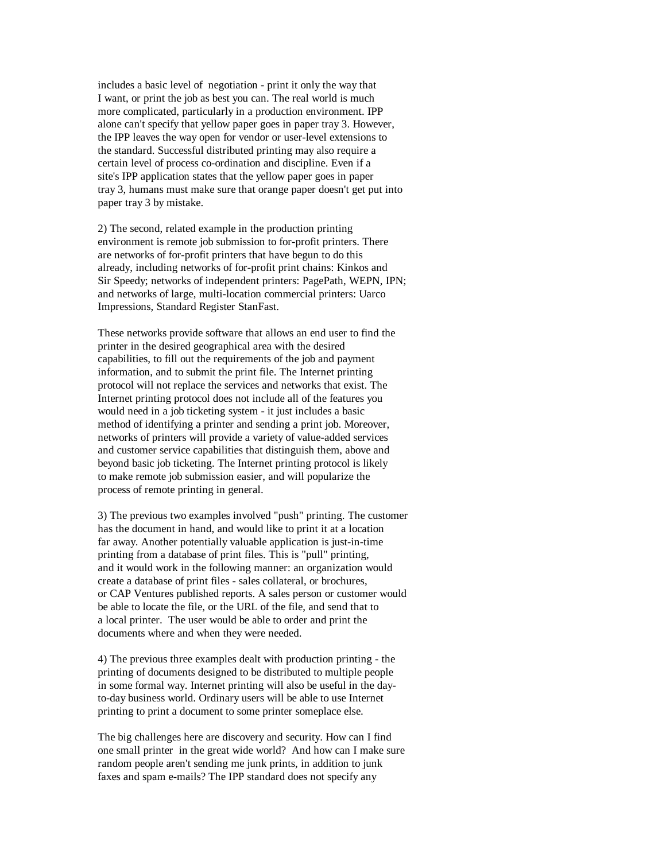includes a basic level of negotiation - print it only the way that I want, or print the job as best you can. The real world is much more complicated, particularly in a production environment. IPP alone can't specify that yellow paper goes in paper tray 3. However, the IPP leaves the way open for vendor or user-level extensions to the standard. Successful distributed printing may also require a certain level of process co-ordination and discipline. Even if a site's IPP application states that the yellow paper goes in paper tray 3, humans must make sure that orange paper doesn't get put into paper tray 3 by mistake.

2) The second, related example in the production printing environment is remote job submission to for-profit printers. There are networks of for-profit printers that have begun to do this already, including networks of for-profit print chains: Kinkos and Sir Speedy; networks of independent printers: PagePath, WEPN, IPN; and networks of large, multi-location commercial printers: Uarco Impressions, Standard Register StanFast.

These networks provide software that allows an end user to find the printer in the desired geographical area with the desired capabilities, to fill out the requirements of the job and payment information, and to submit the print file. The Internet printing protocol will not replace the services and networks that exist. The Internet printing protocol does not include all of the features you would need in a job ticketing system - it just includes a basic method of identifying a printer and sending a print job. Moreover, networks of printers will provide a variety of value-added services and customer service capabilities that distinguish them, above and beyond basic job ticketing. The Internet printing protocol is likely to make remote job submission easier, and will popularize the process of remote printing in general.

3) The previous two examples involved "push" printing. The customer has the document in hand, and would like to print it at a location far away. Another potentially valuable application is just-in-time printing from a database of print files. This is "pull" printing, and it would work in the following manner: an organization would create a database of print files - sales collateral, or brochures, or CAP Ventures published reports. A sales person or customer would be able to locate the file, or the URL of the file, and send that to a local printer. The user would be able to order and print the documents where and when they were needed.

4) The previous three examples dealt with production printing - the printing of documents designed to be distributed to multiple people in some formal way. Internet printing will also be useful in the dayto-day business world. Ordinary users will be able to use Internet printing to print a document to some printer someplace else.

The big challenges here are discovery and security. How can I find one small printer in the great wide world? And how can I make sure random people aren't sending me junk prints, in addition to junk faxes and spam e-mails? The IPP standard does not specify any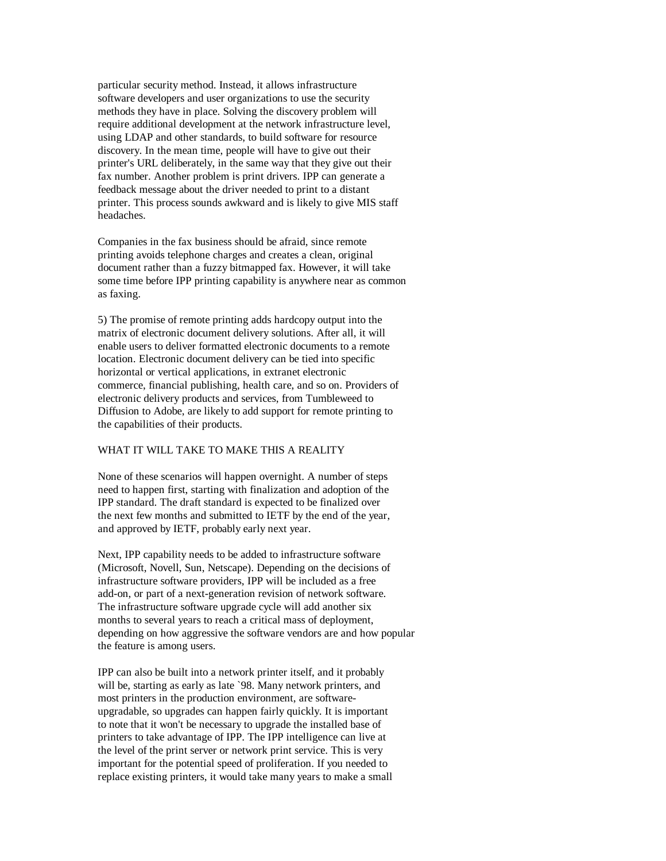particular security method. Instead, it allows infrastructure software developers and user organizations to use the security methods they have in place. Solving the discovery problem will require additional development at the network infrastructure level, using LDAP and other standards, to build software for resource discovery. In the mean time, people will have to give out their printer's URL deliberately, in the same way that they give out their fax number. Another problem is print drivers. IPP can generate a feedback message about the driver needed to print to a distant printer. This process sounds awkward and is likely to give MIS staff headaches.

Companies in the fax business should be afraid, since remote printing avoids telephone charges and creates a clean, original document rather than a fuzzy bitmapped fax. However, it will take some time before IPP printing capability is anywhere near as common as faxing.

5) The promise of remote printing adds hardcopy output into the matrix of electronic document delivery solutions. After all, it will enable users to deliver formatted electronic documents to a remote location. Electronic document delivery can be tied into specific horizontal or vertical applications, in extranet electronic commerce, financial publishing, health care, and so on. Providers of electronic delivery products and services, from Tumbleweed to Diffusion to Adobe, are likely to add support for remote printing to the capabilities of their products.

## WHAT IT WILL TAKE TO MAKE THIS A REALITY

None of these scenarios will happen overnight. A number of steps need to happen first, starting with finalization and adoption of the IPP standard. The draft standard is expected to be finalized over the next few months and submitted to IETF by the end of the year, and approved by IETF, probably early next year.

Next, IPP capability needs to be added to infrastructure software (Microsoft, Novell, Sun, Netscape). Depending on the decisions of infrastructure software providers, IPP will be included as a free add-on, or part of a next-generation revision of network software. The infrastructure software upgrade cycle will add another six months to several years to reach a critical mass of deployment, depending on how aggressive the software vendors are and how popular the feature is among users.

IPP can also be built into a network printer itself, and it probably will be, starting as early as late `98. Many network printers, and most printers in the production environment, are softwareupgradable, so upgrades can happen fairly quickly. It is important to note that it won't be necessary to upgrade the installed base of printers to take advantage of IPP. The IPP intelligence can live at the level of the print server or network print service. This is very important for the potential speed of proliferation. If you needed to replace existing printers, it would take many years to make a small